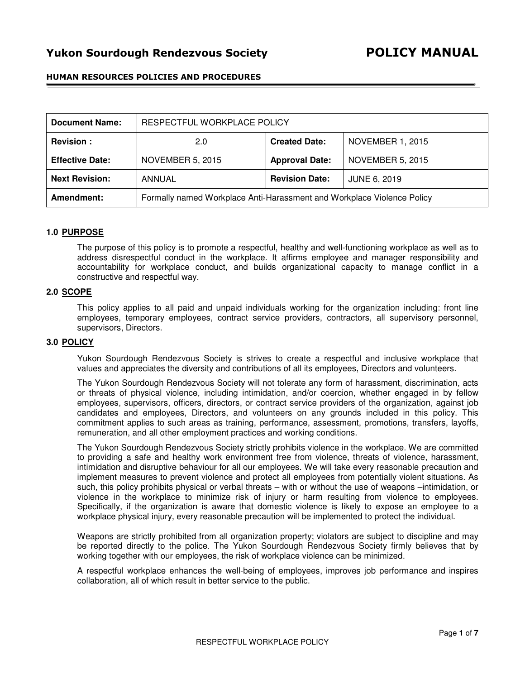# Yukon Sourdough Rendezvous Society POLICY MANUAL

# HUMAN RESOURCES POLICIES AND PROCEDURES

| <b>Document Name:</b>  | RESPECTFUL WORKPLACE POLICY                                            |                       |                         |
|------------------------|------------------------------------------------------------------------|-----------------------|-------------------------|
| <b>Revision:</b>       | 2.0                                                                    | <b>Created Date:</b>  | <b>NOVEMBER 1, 2015</b> |
| <b>Effective Date:</b> | <b>NOVEMBER 5, 2015</b>                                                | <b>Approval Date:</b> | <b>NOVEMBER 5, 2015</b> |
| <b>Next Revision:</b>  | ANNUAL                                                                 | <b>Revision Date:</b> | <b>JUNE 6, 2019</b>     |
| Amendment:             | Formally named Workplace Anti-Harassment and Workplace Violence Policy |                       |                         |

## **1.0 PURPOSE**

The purpose of this policy is to promote a respectful, healthy and well-functioning workplace as well as to address disrespectful conduct in the workplace. It affirms employee and manager responsibility and accountability for workplace conduct, and builds organizational capacity to manage conflict in a constructive and respectful way.

### **2.0 SCOPE**

This policy applies to all paid and unpaid individuals working for the organization including: front line employees, temporary employees, contract service providers, contractors, all supervisory personnel, supervisors, Directors.

## **3.0 POLICY**

Yukon Sourdough Rendezvous Society is strives to create a respectful and inclusive workplace that values and appreciates the diversity and contributions of all its employees, Directors and volunteers.

The Yukon Sourdough Rendezvous Society will not tolerate any form of harassment, discrimination, acts or threats of physical violence, including intimidation, and/or coercion, whether engaged in by fellow employees, supervisors, officers, directors, or contract service providers of the organization, against job candidates and employees, Directors, and volunteers on any grounds included in this policy. This commitment applies to such areas as training, performance, assessment, promotions, transfers, layoffs, remuneration, and all other employment practices and working conditions.

The Yukon Sourdough Rendezvous Society strictly prohibits violence in the workplace. We are committed to providing a safe and healthy work environment free from violence, threats of violence, harassment, intimidation and disruptive behaviour for all our employees. We will take every reasonable precaution and implement measures to prevent violence and protect all employees from potentially violent situations. As such, this policy prohibits physical or verbal threats – with or without the use of weapons –intimidation, or violence in the workplace to minimize risk of injury or harm resulting from violence to employees. Specifically, if the organization is aware that domestic violence is likely to expose an employee to a workplace physical injury, every reasonable precaution will be implemented to protect the individual.

Weapons are strictly prohibited from all organization property; violators are subject to discipline and may be reported directly to the police. The Yukon Sourdough Rendezvous Society firmly believes that by working together with our employees, the risk of workplace violence can be minimized.

A respectful workplace enhances the well-being of employees, improves job performance and inspires collaboration, all of which result in better service to the public.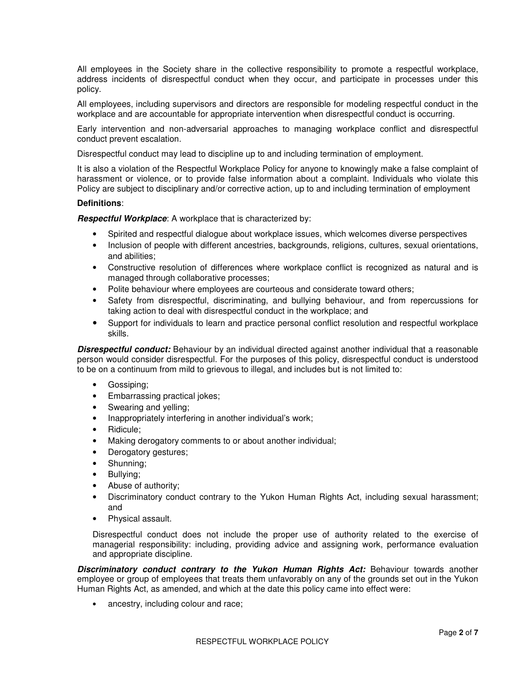All employees in the Society share in the collective responsibility to promote a respectful workplace, address incidents of disrespectful conduct when they occur, and participate in processes under this policy.

All employees, including supervisors and directors are responsible for modeling respectful conduct in the workplace and are accountable for appropriate intervention when disrespectful conduct is occurring.

Early intervention and non-adversarial approaches to managing workplace conflict and disrespectful conduct prevent escalation.

Disrespectful conduct may lead to discipline up to and including termination of employment.

It is also a violation of the Respectful Workplace Policy for anyone to knowingly make a false complaint of harassment or violence, or to provide false information about a complaint. Individuals who violate this Policy are subject to disciplinary and/or corrective action, up to and including termination of employment

## **Definitions**:

**Respectful Workplace**: A workplace that is characterized by:

- Spirited and respectful dialogue about workplace issues, which welcomes diverse perspectives
- Inclusion of people with different ancestries, backgrounds, religions, cultures, sexual orientations, and abilities;
- Constructive resolution of differences where workplace conflict is recognized as natural and is managed through collaborative processes;
- Polite behaviour where employees are courteous and considerate toward others;
- Safety from disrespectful, discriminating, and bullying behaviour, and from repercussions for taking action to deal with disrespectful conduct in the workplace; and
- Support for individuals to learn and practice personal conflict resolution and respectful workplace skills.

**Disrespectful conduct:** Behaviour by an individual directed against another individual that a reasonable person would consider disrespectful. For the purposes of this policy, disrespectful conduct is understood to be on a continuum from mild to grievous to illegal, and includes but is not limited to:

- Gossiping;
- Embarrassing practical jokes;
- Swearing and velling:
- Inappropriately interfering in another individual's work;
- Ridicule;
- Making derogatory comments to or about another individual;
- Derogatory gestures;
- Shunning;
- Bullying;
- Abuse of authority;
- Discriminatory conduct contrary to the Yukon Human Rights Act, including sexual harassment; and
- Physical assault.

Disrespectful conduct does not include the proper use of authority related to the exercise of managerial responsibility: including, providing advice and assigning work, performance evaluation and appropriate discipline.

**Discriminatory conduct contrary to the Yukon Human Rights Act:** Behaviour towards another employee or group of employees that treats them unfavorably on any of the grounds set out in the Yukon Human Rights Act, as amended, and which at the date this policy came into effect were:

• ancestry, including colour and race;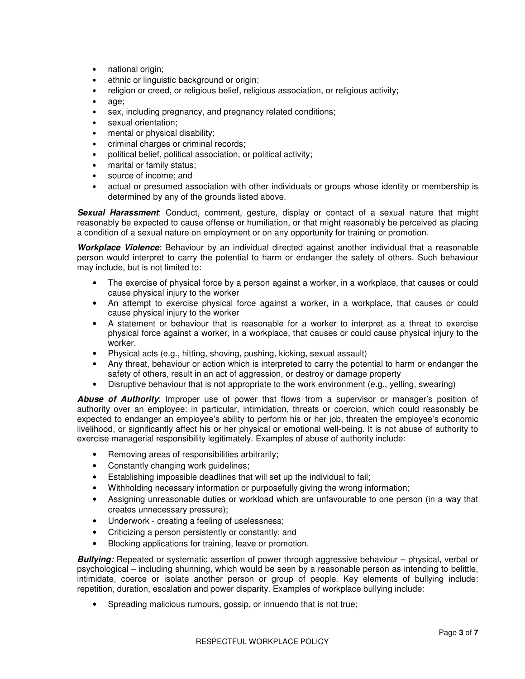- national origin;
- ethnic or linguistic background or origin;
- religion or creed, or religious belief, religious association, or religious activity;
- age;
- sex, including pregnancy, and pregnancy related conditions;
- sexual orientation;
- mental or physical disability;
- criminal charges or criminal records;
- political belief, political association, or political activity;
- marital or family status;
- source of income; and
- actual or presumed association with other individuals or groups whose identity or membership is determined by any of the grounds listed above.

**Sexual Harassment**: Conduct, comment, gesture, display or contact of a sexual nature that might reasonably be expected to cause offense or humiliation, or that might reasonably be perceived as placing a condition of a sexual nature on employment or on any opportunity for training or promotion.

**Workplace Violence**: Behaviour by an individual directed against another individual that a reasonable person would interpret to carry the potential to harm or endanger the safety of others. Such behaviour may include, but is not limited to:

- The exercise of physical force by a person against a worker, in a workplace, that causes or could cause physical injury to the worker
- An attempt to exercise physical force against a worker, in a workplace, that causes or could cause physical injury to the worker
- A statement or behaviour that is reasonable for a worker to interpret as a threat to exercise physical force against a worker, in a workplace, that causes or could cause physical injury to the worker.
- Physical acts (e.g., hitting, shoving, pushing, kicking, sexual assault)
- Any threat, behaviour or action which is interpreted to carry the potential to harm or endanger the safety of others, result in an act of aggression, or destroy or damage property
- Disruptive behaviour that is not appropriate to the work environment (e.g., yelling, swearing)

**Abuse of Authority**: Improper use of power that flows from a supervisor or manager's position of authority over an employee: in particular, intimidation, threats or coercion, which could reasonably be expected to endanger an employee's ability to perform his or her job, threaten the employee's economic livelihood, or significantly affect his or her physical or emotional well-being. It is not abuse of authority to exercise managerial responsibility legitimately. Examples of abuse of authority include:

- Removing areas of responsibilities arbitrarily;
- Constantly changing work guidelines;
- Establishing impossible deadlines that will set up the individual to fail;
- Withholding necessary information or purposefully giving the wrong information;
- Assigning unreasonable duties or workload which are unfavourable to one person (in a way that creates unnecessary pressure);
- Underwork creating a feeling of uselessness;
- Criticizing a person persistently or constantly; and
- Blocking applications for training, leave or promotion.

**Bullying:** Repeated or systematic assertion of power through aggressive behaviour – physical, verbal or psychological – including shunning, which would be seen by a reasonable person as intending to belittle, intimidate, coerce or isolate another person or group of people. Key elements of bullying include: repetition, duration, escalation and power disparity. Examples of workplace bullying include:

• Spreading malicious rumours, gossip, or innuendo that is not true;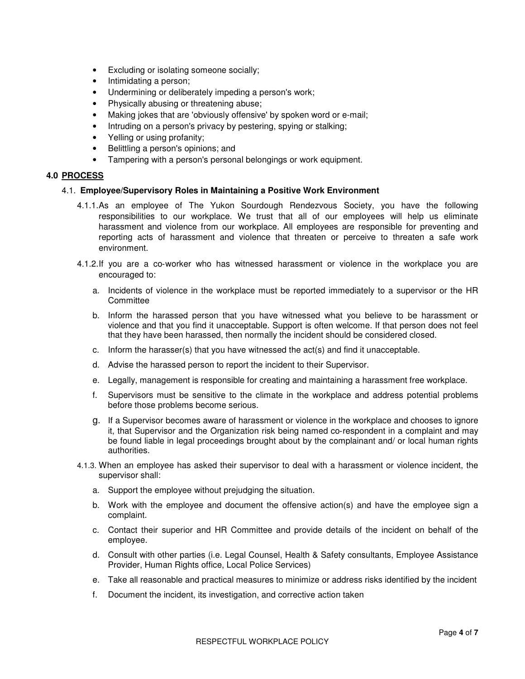- Excluding or isolating someone socially;
- Intimidating a person;
- Undermining or deliberately impeding a person's work;
- Physically abusing or threatening abuse;
- Making jokes that are 'obviously offensive' by spoken word or e-mail;
- Intruding on a person's privacy by pestering, spying or stalking;
- Yelling or using profanity;
- Belittling a person's opinions; and
- Tampering with a person's personal belongings or work equipment.

# **4.0 PROCESS**

# 4.1. **Employee/Supervisory Roles in Maintaining a Positive Work Environment**

- 4.1.1. As an employee of The Yukon Sourdough Rendezvous Society, you have the following responsibilities to our workplace. We trust that all of our employees will help us eliminate harassment and violence from our workplace. All employees are responsible for preventing and reporting acts of harassment and violence that threaten or perceive to threaten a safe work environment.
- 4.1.2. If you are a co‐worker who has witnessed harassment or violence in the workplace you are encouraged to:
	- a. Incidents of violence in the workplace must be reported immediately to a supervisor or the HR **Committee**
	- b. Inform the harassed person that you have witnessed what you believe to be harassment or violence and that you find it unacceptable. Support is often welcome. If that person does not feel that they have been harassed, then normally the incident should be considered closed.
	- c. Inform the harasser(s) that you have witnessed the act(s) and find it unacceptable.
	- d. Advise the harassed person to report the incident to their Supervisor.
	- e. Legally, management is responsible for creating and maintaining a harassment free workplace.
	- f. Supervisors must be sensitive to the climate in the workplace and address potential problems before those problems become serious.
	- g. If a Supervisor becomes aware of harassment or violence in the workplace and chooses to ignore it, that Supervisor and the Organization risk being named co-respondent in a complaint and may be found liable in legal proceedings brought about by the complainant and/ or local human rights authorities.
- 4.1.3. When an employee has asked their supervisor to deal with a harassment or violence incident, the supervisor shall:
	- a. Support the employee without prejudging the situation.
	- b. Work with the employee and document the offensive action(s) and have the employee sign a complaint.
	- c. Contact their superior and HR Committee and provide details of the incident on behalf of the employee.
	- d. Consult with other parties (i.e. Legal Counsel, Health & Safety consultants, Employee Assistance Provider, Human Rights office, Local Police Services)
	- e. Take all reasonable and practical measures to minimize or address risks identified by the incident
	- f. Document the incident, its investigation, and corrective action taken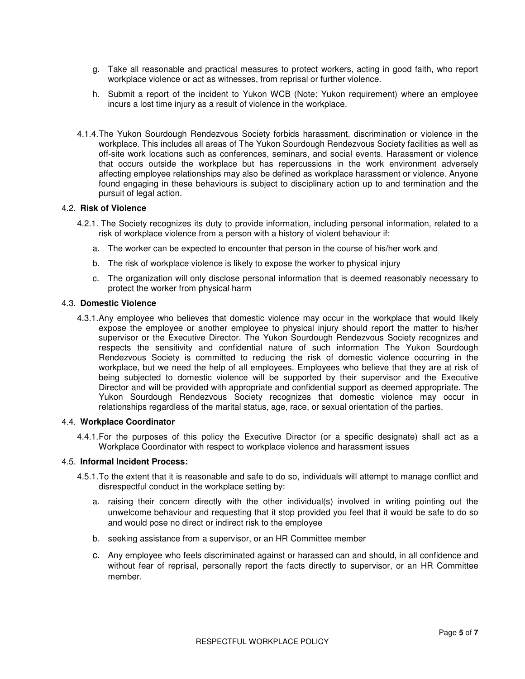- g. Take all reasonable and practical measures to protect workers, acting in good faith, who report workplace violence or act as witnesses, from reprisal or further violence.
- h. Submit a report of the incident to Yukon WCB (Note: Yukon requirement) where an employee incurs a lost time injury as a result of violence in the workplace.
- 4.1.4. The Yukon Sourdough Rendezvous Society forbids harassment, discrimination or violence in the workplace. This includes all areas of The Yukon Sourdough Rendezvous Society facilities as well as off-site work locations such as conferences, seminars, and social events. Harassment or violence that occurs outside the workplace but has repercussions in the work environment adversely affecting employee relationships may also be defined as workplace harassment or violence. Anyone found engaging in these behaviours is subject to disciplinary action up to and termination and the pursuit of legal action.

# 4.2. **Risk of Violence**

- 4.2.1. The Society recognizes its duty to provide information, including personal information, related to a risk of workplace violence from a person with a history of violent behaviour if:
	- a. The worker can be expected to encounter that person in the course of his/her work and
	- b. The risk of workplace violence is likely to expose the worker to physical injury
	- c. The organization will only disclose personal information that is deemed reasonably necessary to protect the worker from physical harm

### 4.3. **Domestic Violence**

4.3.1. Any employee who believes that domestic violence may occur in the workplace that would likely expose the employee or another employee to physical injury should report the matter to his/her supervisor or the Executive Director. The Yukon Sourdough Rendezvous Society recognizes and respects the sensitivity and confidential nature of such information The Yukon Sourdough Rendezvous Society is committed to reducing the risk of domestic violence occurring in the workplace, but we need the help of all employees. Employees who believe that they are at risk of being subjected to domestic violence will be supported by their supervisor and the Executive Director and will be provided with appropriate and confidential support as deemed appropriate. The Yukon Sourdough Rendezvous Society recognizes that domestic violence may occur in relationships regardless of the marital status, age, race, or sexual orientation of the parties.

#### 4.4. **Workplace Coordinator**

4.4.1. For the purposes of this policy the Executive Director (or a specific designate) shall act as a Workplace Coordinator with respect to workplace violence and harassment issues

#### 4.5. **Informal Incident Process:**

- 4.5.1. To the extent that it is reasonable and safe to do so, individuals will attempt to manage conflict and disrespectful conduct in the workplace setting by:
	- a. raising their concern directly with the other individual(s) involved in writing pointing out the unwelcome behaviour and requesting that it stop provided you feel that it would be safe to do so and would pose no direct or indirect risk to the employee
	- b. seeking assistance from a supervisor, or an HR Committee member
	- c. Any employee who feels discriminated against or harassed can and should, in all confidence and without fear of reprisal, personally report the facts directly to supervisor, or an HR Committee member.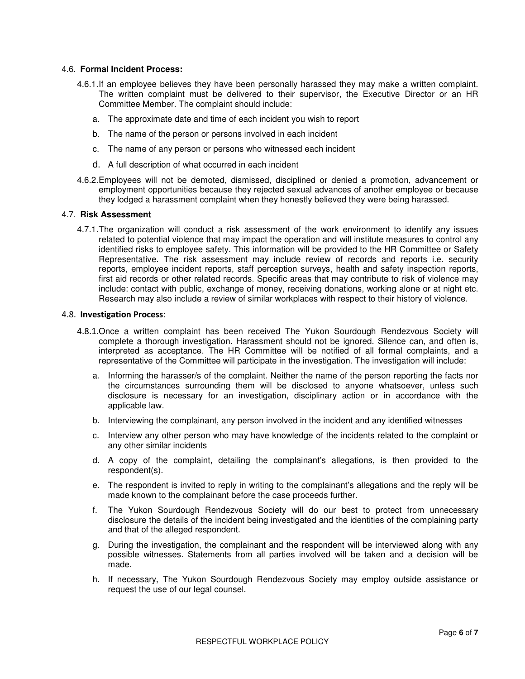## 4.6. **Formal Incident Process:**

- 4.6.1. If an employee believes they have been personally harassed they may make a written complaint. The written complaint must be delivered to their supervisor, the Executive Director or an HR Committee Member. The complaint should include:
	- a. The approximate date and time of each incident you wish to report
	- b. The name of the person or persons involved in each incident
	- c. The name of any person or persons who witnessed each incident
	- d. A full description of what occurred in each incident
- 4.6.2. Employees will not be demoted, dismissed, disciplined or denied a promotion, advancement or employment opportunities because they rejected sexual advances of another employee or because they lodged a harassment complaint when they honestly believed they were being harassed.

## 4.7. **Risk Assessment**

4.7.1. The organization will conduct a risk assessment of the work environment to identify any issues related to potential violence that may impact the operation and will institute measures to control any identified risks to employee safety. This information will be provided to the HR Committee or Safety Representative. The risk assessment may include review of records and reports i.e. security reports, employee incident reports, staff perception surveys, health and safety inspection reports, first aid records or other related records. Specific areas that may contribute to risk of violence may include: contact with public, exchange of money, receiving donations, working alone or at night etc. Research may also include a review of similar workplaces with respect to their history of violence.

#### 4.8. Investigation Process:

- 4.8.1.Once a written complaint has been received The Yukon Sourdough Rendezvous Society will complete a thorough investigation. Harassment should not be ignored. Silence can, and often is, interpreted as acceptance. The HR Committee will be notified of all formal complaints, and a representative of the Committee will participate in the investigation. The investigation will include:
	- a. Informing the harasser/s of the complaint. Neither the name of the person reporting the facts nor the circumstances surrounding them will be disclosed to anyone whatsoever, unless such disclosure is necessary for an investigation, disciplinary action or in accordance with the applicable law.
	- b. Interviewing the complainant, any person involved in the incident and any identified witnesses
	- c. Interview any other person who may have knowledge of the incidents related to the complaint or any other similar incidents
	- d. A copy of the complaint, detailing the complainant's allegations, is then provided to the respondent(s).
	- e. The respondent is invited to reply in writing to the complainant's allegations and the reply will be made known to the complainant before the case proceeds further.
	- f. The Yukon Sourdough Rendezvous Society will do our best to protect from unnecessary disclosure the details of the incident being investigated and the identities of the complaining party and that of the alleged respondent.
	- g. During the investigation, the complainant and the respondent will be interviewed along with any possible witnesses. Statements from all parties involved will be taken and a decision will be made.
	- h. If necessary, The Yukon Sourdough Rendezvous Society may employ outside assistance or request the use of our legal counsel.